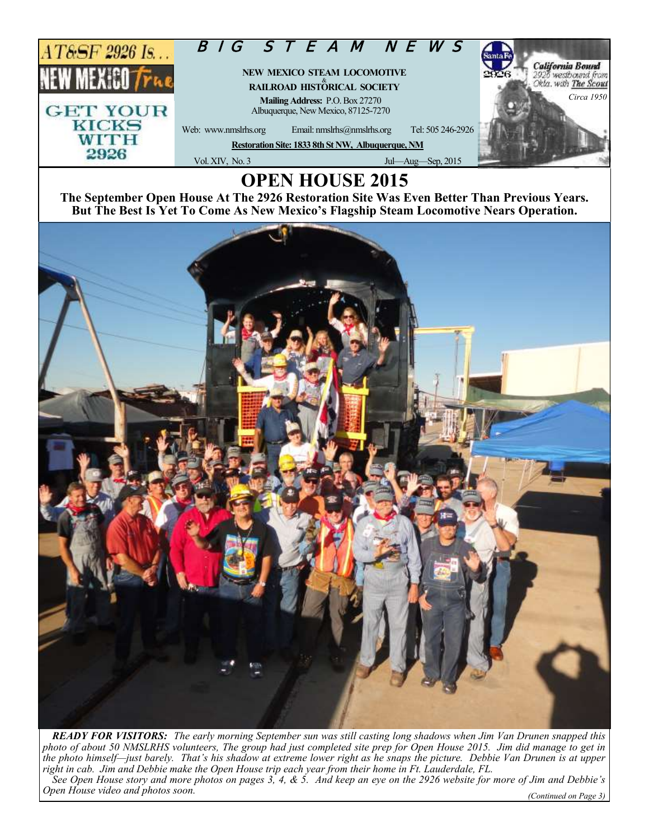

## **OPEN HOUSE 2015**

**The September Open House At The 2926 Restoration Site Was Even Better Than Previous Years. But The Best Is Yet To Come As New Mexico's Flagship Steam Locomotive Nears Operation.**



*READY FOR VISITORS: The early morning September sun was still casting long shadows when Jim Van Drunen snapped this photo of about 50 NMSLRHS volunteers, The group had just completed site prep for Open House 2015. Jim did manage to get in the photo himself—just barely. That's his shadow at extreme lower right as he snaps the picture. Debbie Van Drunen is at upper right in cab. Jim and Debbie make the Open House trip each year from their home in Ft. Lauderdale, FL. See Open House story and more photos on pages 3, 4, & 5. And keep an eye on the 2926 website for more of Jim and Debbie's Open House video and photos soon. (Continued on Page 3)*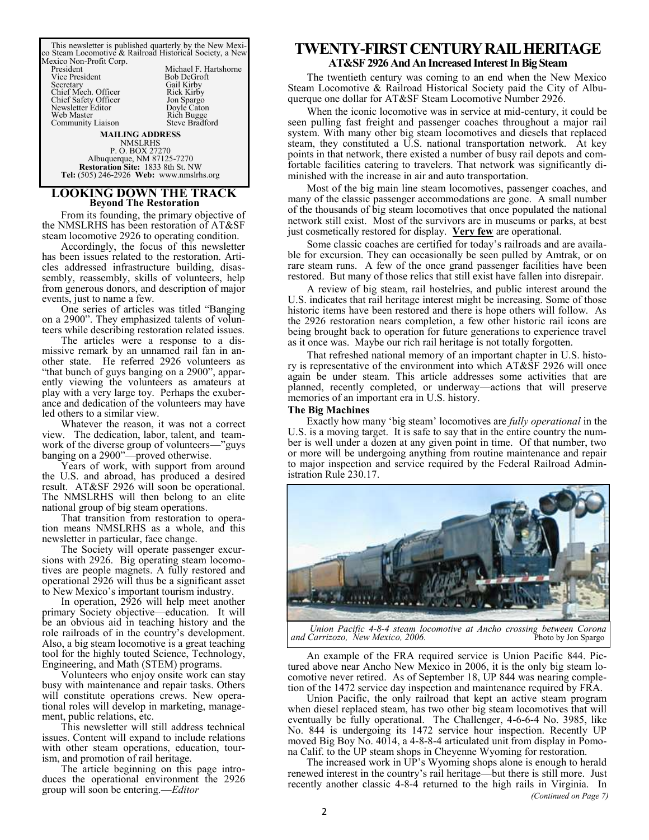This newsletter is published quarterly by the New Mexi-co Steam Locomotive & Railroad Historical Society, a New Mexico Non-Profit Corp. Michael F. Hartshorne<br>Rob DeGroft President<br>Vice President<br>Secretary Gail Kirby<br>Rick Kirby Chief Mech. Officer Rick Kirby Chief Safety Officer Jon Spargo Newsletter Editor Doyle Caton Web Master Rich Bugge Community Liaison Steve Bradford **MAILING ADDRESS**  NMSLRHS P. O. BOX 27270 Albuquerque, NM 87125-7270 **Restoration Site:** 1833 8th St. NW

### **LOOKING DOWN THE TRACK Beyond The Restoration**

**Tel:** (505) 246-2926 **Web:** www.nmslrhs.org

From its founding, the primary objective of the NMSLRHS has been restoration of AT&SF steam locomotive 2926 to operating condition.

Accordingly, the focus of this newsletter has been issues related to the restoration. Articles addressed infrastructure building, disassembly, reassembly, skills of volunteers, help from generous donors, and description of major events, just to name a few.

One series of articles was titled "Banging on a 2900". They emphasized talents of volunteers while describing restoration related issues.

The articles were a response to a dismissive remark by an unnamed rail fan in another state. He referred 2926 volunteers as "that bunch of guys banging on a 2900", apparently viewing the volunteers as amateurs at play with a very large toy. Perhaps the exuberance and dedication of the volunteers may have led others to a similar view.

Whatever the reason, it was not a correct view. The dedication, labor, talent, and teamwork of the diverse group of volunteers—"guys banging on a 2900"-proved otherwise.

Years of work, with support from around the U.S. and abroad, has produced a desired result. AT&SF 2926 will soon be operational. The NMSLRHS will then belong to an elite national group of big steam operations.

That transition from restoration to operation means NMSLRHS as a whole, and this newsletter in particular, face change.

The Society will operate passenger excursions with 2926. Big operating steam locomotives are people magnets. A fully restored and operational 2926 will thus be a significant asset to New Mexico's important tourism industry.

In operation, 2926 will help meet another primary Society objective—education. It will be an obvious aid in teaching history and the role railroads of in the country's development. Also, a big steam locomotive is a great teaching tool for the highly touted Science, Technology, Engineering, and Math (STEM) programs.

Volunteers who enjoy onsite work can stay busy with maintenance and repair tasks. Others will constitute operations crews. New operational roles will develop in marketing, management, public relations, etc.

This newsletter will still address technical issues. Content will expand to include relations with other steam operations, education, tourism, and promotion of rail heritage.

The article beginning on this page introduces the operational environment the 2926 group will soon be entering.—*Editor*

## **TWENTY-FIRST CENTURY RAIL HERITAGE**

### **AT&SF 2926 And An Increased Interest In Big Steam**

The twentieth century was coming to an end when the New Mexico Steam Locomotive & Railroad Historical Society paid the City of Albuquerque one dollar for AT&SF Steam Locomotive Number 2926.

When the iconic locomotive was in service at mid-century, it could be seen pulling fast freight and passenger coaches throughout a major rail system. With many other big steam locomotives and diesels that replaced steam, they constituted a U.S. national transportation network. At key points in that network, there existed a number of busy rail depots and comfortable facilities catering to travelers. That network was significantly diminished with the increase in air and auto transportation.

Most of the big main line steam locomotives, passenger coaches, and many of the classic passenger accommodations are gone. A small number of the thousands of big steam locomotives that once populated the national network still exist. Most of the survivors are in museums or parks, at best just cosmetically restored for display. **Very few** are operational.

Some classic coaches are certified for today's railroads and are available for excursion. They can occasionally be seen pulled by Amtrak, or on rare steam runs. A few of the once grand passenger facilities have been restored. But many of those relics that still exist have fallen into disrepair.

A review of big steam, rail hostelries, and public interest around the U.S. indicates that rail heritage interest might be increasing. Some of those historic items have been restored and there is hope others will follow. As the 2926 restoration nears completion, a few other historic rail icons are being brought back to operation for future generations to experience travel as it once was. Maybe our rich rail heritage is not totally forgotten.

That refreshed national memory of an important chapter in U.S. history is representative of the environment into which AT&SF 2926 will once again be under steam. This article addresses some activities that are planned, recently completed, or underway—actions that will preserve memories of an important era in U.S. history.

### **The Big Machines**

Exactly how many 'big steam' locomotives are *fully operational* in the U.S. is a moving target. It is safe to say that in the entire country the number is well under a dozen at any given point in time. Of that number, two or more will be undergoing anything from routine maintenance and repair to major inspection and service required by the Federal Railroad Administration Rule 230.17.



*Union Pacific 4-8-4 steam locomotive at Ancho crossing between Corona*  and Carrizozo, New Mexico, 2006.

An example of the FRA required service is Union Pacific 844. Pictured above near Ancho New Mexico in 2006, it is the only big steam locomotive never retired. As of September 18, UP 844 was nearing completion of the 1472 service day inspection and maintenance required by FRA.

Union Pacific, the only railroad that kept an active steam program when diesel replaced steam, has two other big steam locomotives that will eventually be fully operational. The Challenger, 4-6-6-4 No. 3985, like No. 844 is undergoing its 1472 service hour inspection. Recently UP moved Big Boy No. 4014, a 4-8-8-4 articulated unit from display in Pomona Calif. to the UP steam shops in Cheyenne Wyoming for restoration.

*(Continued on Page 7)* The increased work in UP's Wyoming shops alone is enough to herald renewed interest in the country's rail heritage—but there is still more. Just recently another classic 4-8-4 returned to the high rails in Virginia. In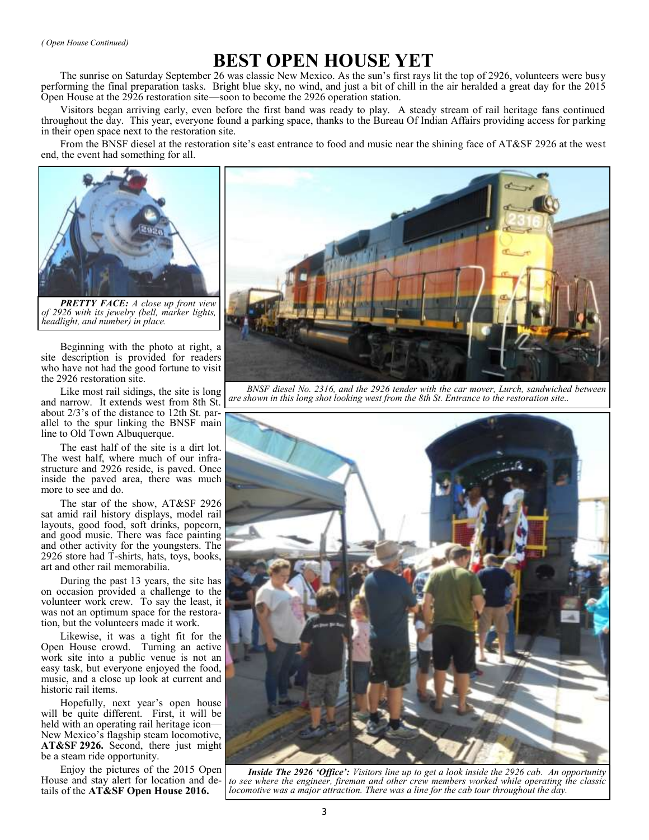*( Open House Continued)*

## **BEST OPEN HOUSE YET**

The sunrise on Saturday September 26 was classic New Mexico. As the sun's first rays lit the top of 2926, volunteers were busy performing the final preparation tasks. Bright blue sky, no wind, and just a bit of chill in the air heralded a great day for the 2015 Open House at the 2926 restoration site—soon to become the 2926 operation station.

Visitors began arriving early, even before the first band was ready to play. A steady stream of rail heritage fans continued throughout the day. This year, everyone found a parking space, thanks to the Bureau Of Indian Affairs providing access for parking in their open space next to the restoration site.

From the BNSF diesel at the restoration site's east entrance to food and music near the shining face of AT&SF 2926 at the west end, the event had something for all.



*PRETTY FACE: A close up front view of 2926 with its jewelry (bell, marker lights, headlight, and number) in place.*

Beginning with the photo at right, a site description is provided for readers who have not had the good fortune to visit the 2926 restoration site.

Like most rail sidings, the site is long and narrow. It extends west from 8th St. about 2/3's of the distance to 12th St. parallel to the spur linking the BNSF main line to Old Town Albuquerque.

The east half of the site is a dirt lot. The west half, where much of our infrastructure and 2926 reside, is paved. Once inside the paved area, there was much more to see and do.

The star of the show, AT&SF 2926 sat amid rail history displays, model rail layouts, good food, soft drinks, popcorn, and good music. There was face painting and other activity for the youngsters. The 2926 store had T-shirts, hats, toys, books, art and other rail memorabilia.

During the past 13 years, the site has on occasion provided a challenge to the volunteer work crew. To say the least, it was not an optimum space for the restoration, but the volunteers made it work.

Likewise, it was a tight fit for the Open House crowd. Turning an active work site into a public venue is not an easy task, but everyone enjoyed the food, music, and a close up look at current and historic rail items.

Hopefully, next year's open house will be quite different. First, it will be held with an operating rail heritage icon— New Mexico's flagship steam locomotive, **AT&SF 2926.** Second, there just might be a steam ride opportunity.

Enjoy the pictures of the 2015 Open House and stay alert for location and details of the **AT&SF Open House 2016.**



*BNSF diesel No. 2316, and the 2926 tender with the car mover, Lurch, sandwiched between are shown in this long shot looking west from the 8th St. Entrance to the restoration site..*



*Inside The 2926 'Office': Visitors line up to get a look inside the 2926 cab. An opportunity to see where the engineer, fireman and other crew members worked while operating the classic locomotive was a major attraction. There was a line for the cab tour throughout the day.*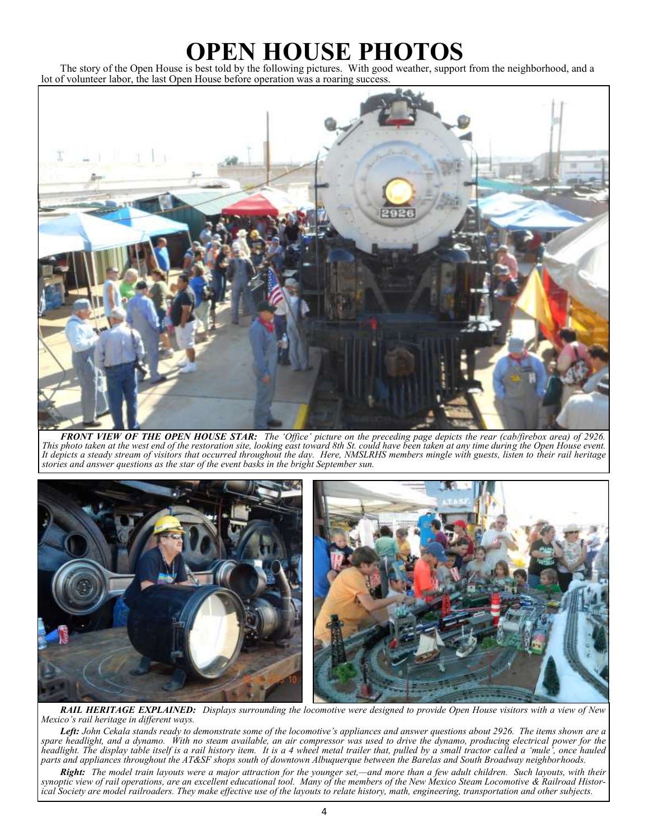# **OPEN HOUSE PHOTOS**

The story of the Open House is best told by the following pictures. With good weather, support from the neighborhood, and a lot of volunteer labor, the last Open House before operation was a roaring success.



*FRONT VIEW OF THE OPEN HOUSE STAR: The 'Office' picture on the preceding page depicts the rear (cab/firebox area) of 2926. This photo taken at the west end of the restoration site, looking east toward 8th St. could have been taken at any time during the Open House event. It depicts a steady stream of visitors that occurred throughout the day. Here, NMSLRHS members mingle with guests, listen to their rail heritage stories and answer questions as the star of the event basks in the bright September sun.* 



*RAIL HERITAGE EXPLAINED: Displays surrounding the locomotive were designed to provide Open House visitors with a view of New Mexico's rail heritage in different ways.* 

*Left: John Cekala stands ready to demonstrate some of the locomotive's appliances and answer questions about 2926. The items shown are a spare headlight, and a dynamo. With no steam available, an air compressor was used to drive the dynamo, producing electrical power for the headlight. The display table itself is a rail history item. It is a 4 wheel metal trailer that, pulled by a small tractor called a 'mule', once hauled parts and appliances throughout the AT&SF shops south of downtown Albuquerque between the Barelas and South Broadway neighborhoods.*

*Right: The model train layouts were a major attraction for the younger set,—and more than a few adult children. Such layouts, with their synoptic view of rail operations, are an excellent educational tool. Many of the members of the New Mexico Steam Locomotive & Railroad Histor*ical Society are model railroaders. They make effective use of the layouts to relate history, math, engineering, transportation and other subjects.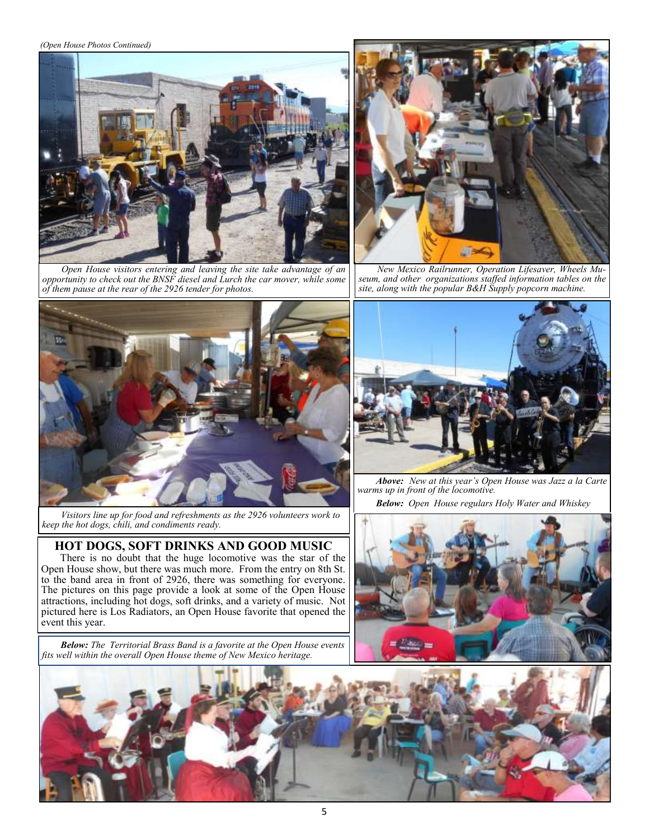*(Open House Photos Continued)*



*Open House visitors entering and leaving the site take advantage of an opportunity to check out the BNSF diesel and Lurch the car mover, while some of them pause at the rear of the 2926 tender for photos.*



*New Mexico Railrunner, Operation Lifesaver, Wheels Museum, and other organizations staffed information tables on the site, along with the popular B&H Supply popcorn machine.* 



*Visitors line up for food and refreshments as the 2926 volunteers work to keep the hot dogs, chili, and condiments ready.* 

### **HOT DOGS, SOFT DRINKS AND GOOD MUSIC**

There is no doubt that the huge locomotive was the star of the Open House show, but there was much more. From the entry on 8th St. to the band area in front of 2926, there was something for everyone. The pictures on this page provide a look at some of the Open House attractions, including hot dogs, soft drinks, and a variety of music. Not pictured here is Los Radiators, an Open House favorite that opened the event this year.

*Below: The Territorial Brass Band is a favorite at the Open House events fits well within the overall Open House theme of New Mexico heritage.*



*Above: New at this year's Open House was Jazz a la Carte warms up in front of the locomotive.*

*Below: Open House regulars Holy Water and Whiskey*



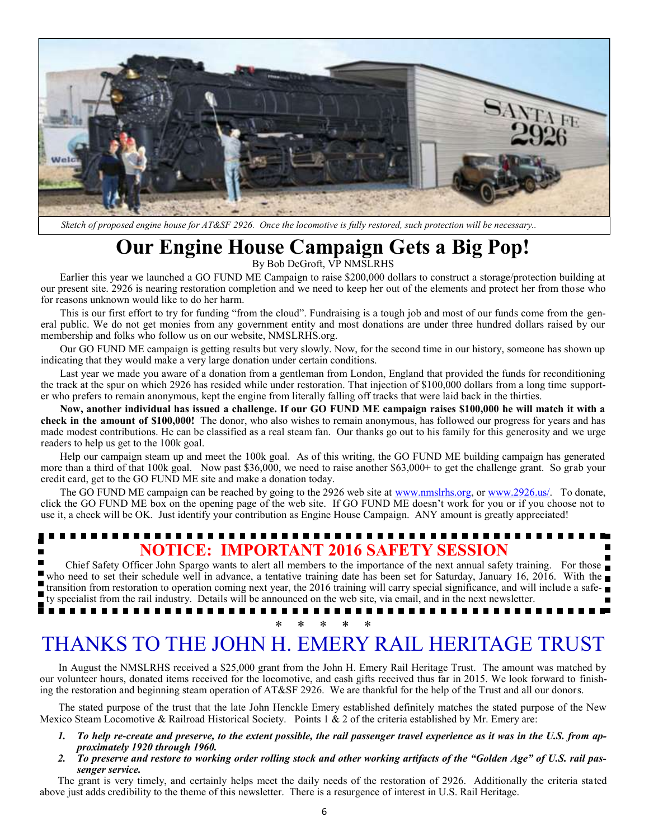

*Sketch of proposed engine house for AT&SF 2926. Once the locomotive is fully restored, such protection will be necessary..* 

# **Our Engine House Campaign Gets a Big Pop!**

By Bob DeGroft, VP NMSLRHS

Earlier this year we launched a GO FUND ME Campaign to raise \$200,000 dollars to construct a storage/protection building at our present site. 2926 is nearing restoration completion and we need to keep her out of the elements and protect her from those who for reasons unknown would like to do her harm.

This is our first effort to try for funding "from the cloud". Fundraising is a tough job and most of our funds come from the general public. We do not get monies from any government entity and most donations are under three hundred dollars raised by our membership and folks who follow us on our website, NMSLRHS.org.

Our GO FUND ME campaign is getting results but very slowly. Now, for the second time in our history, someone has shown up indicating that they would make a very large donation under certain conditions.

Last year we made you aware of a donation from a gentleman from London, England that provided the funds for reconditioning the track at the spur on which 2926 has resided while under restoration. That injection of \$100,000 dollars from a long time supporter who prefers to remain anonymous, kept the engine from literally falling off tracks that were laid back in the thirties.

**Now, another individual has issued a challenge. If our GO FUND ME campaign raises \$100,000 he will match it with a check in the amount of \$100,000!** The donor, who also wishes to remain anonymous, has followed our progress for years and has made modest contributions. He can be classified as a real steam fan. Our thanks go out to his family for this generosity and we urge readers to help us get to the 100k goal.

Help our campaign steam up and meet the 100k goal. As of this writing, the GO FUND ME building campaign has generated more than a third of that 100k goal. Now past \$36,000, we need to raise another \$63,000+ to get the challenge grant. So grab your credit card, get to the GO FUND ME site and make a donation today.

The GO FUND ME campaign can be reached by going to the 2926 web site at [www.nmslrhs.org,](http://www.nmslrhs.org) or [www.2926.us/.](http://www.2926.us/) To donate, click the GO FUND ME box on the opening page of the web site. If GO FUND ME doesn't work for you or if you choose not to use it, a check will be OK. Just identify your contribution as Engine House Campaign. ANY amount is greatly appreciated!

### ...................... **NOTICE: IMPORTANT 2016 SAFETY SESSION**

Chief Safety Officer John Spargo wants to alert all members to the importance of the next annual safety training. For those who need to set their schedule well in advance, a tentative training date has been set for Saturday, January 16, 2016. With the  $\blacksquare$ transition from restoration to operation coming next year, the 2016 training will carry special significance, and will include a safe-Ë ty specialist from the rail industry. Details will be announced on the web site, via email, and in the next newsletter. . . . . . . . . . . . . . . .

## \* \* \* \* \* THANKS TO THE JOHN H. EMERY RAIL HERITAGE TRUST

In August the NMSLRHS received a \$25,000 grant from the John H. Emery Rail Heritage Trust. The amount was matched by our volunteer hours, donated items received for the locomotive, and cash gifts received thus far in 2015. We look forward to finishing the restoration and beginning steam operation of AT&SF 2926. We are thankful for the help of the Trust and all our donors.

The stated purpose of the trust that the late John Henckle Emery established definitely matches the stated purpose of the New Mexico Steam Locomotive & Railroad Historical Society. Points 1 & 2 of the criteria established by Mr. Emery are:

- *1. To help re-create and preserve, to the extent possible, the rail passenger travel experience as it was in the U.S. from approximately 1920 through 1960.*
- *2. To preserve and restore to working order rolling stock and other working artifacts of the "Golden Age" of U.S. rail passenger service.*

The grant is very timely, and certainly helps meet the daily needs of the restoration of 2926. Additionally the criteria stated above just adds credibility to the theme of this newsletter. There is a resurgence of interest in U.S. Rail Heritage.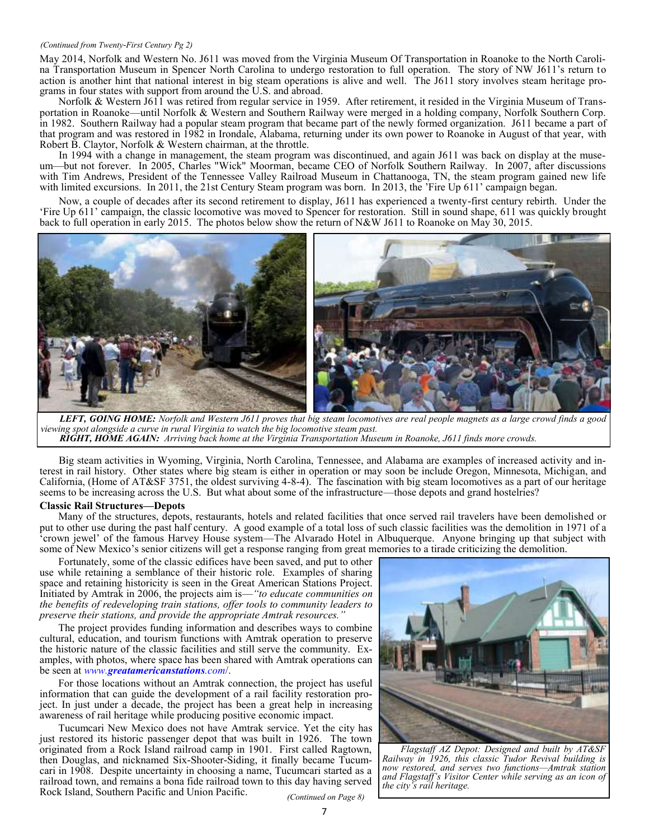#### *(Continued from Twenty-First Century Pg 2)*

May 2014, Norfolk and Western No. J611 was moved from the Virginia Museum Of Transportation in Roanoke to the North Carolina Transportation Museum in Spencer North Carolina to undergo restoration to full operation. The story of NW J611's return to action is another hint that national interest in big steam operations is alive and well. The J611 story involves steam heritage programs in four states with support from around the U.S. and abroad.

Norfolk & Western J611 was retired from regular service in 1959. After retirement, it resided in the Virginia Museum of Transportation in Roanoke—until Norfolk & Western and Southern Railway were merged in a holding company, Norfolk Southern Corp. in 1982. Southern Railway had a popular steam program that became part of the newly formed organization. J611 became a part of that program and was restored in 1982 in Irondale, Alabama, returning under its own power to Roanoke in August of that year, with Robert B. Claytor, Norfolk & Western chairman, at the throttle.

In 1994 with a change in management, the steam program was discontinued, and again J611 was back on display at the museum—but not forever. In 2005, [Charles "Wick" Moorman,](https://en.wikipedia.org/wiki/Charles_Moorman) became CEO of Norfolk Southern Railway. In 2007, after discussions with Tim Andrews, President of the Tennessee [Valley Railroad Museum](https://en.wikipedia.org/wiki/Tennessee_Valley_Railroad_Museum) in Chattanooga, TN, the steam program gained new life with limited excursions. In 2011, the 21st Century Steam program was born. In 2013, the 'Fire Up 611' campaign began.

Now, a couple of decades after its second retirement to display, J611 has experienced a twenty-first century rebirth. Under the 'Fire Up 611' campaign, the classic locomotive was moved to Spencer for restoration. Still in sound shape, 611 was quickly brought back to full operation in early 2015. The photos below show the return of N&W J611 to Roanoke on May 30, 2015.



*LEFT, GOING HOME: Norfolk and Western J611 proves that big steam locomotives are real people magnets as a large crowd finds a good viewing spot alongside a curve in rural Virginia to watch the big locomotive steam past. RIGHT, HOME AGAIN: Arriving back home at the Virginia Transportation Museum in Roanoke, J611 finds more crowds.*

Big steam activities in Wyoming, Virginia, North Carolina, Tennessee, and Alabama are examples of increased activity and interest in rail history. Other states where big steam is either in operation or may soon be include Oregon, Minnesota, Michigan, and California, (Home of AT&SF 3751, the oldest surviving 4-8-4). The fascination with big steam locomotives as a part of our heritage seems to be increasing across the U.S. But what about some of the infrastructure—those depots and grand hostelries?

### **Classic Rail Structures—Depots**

Many of the structures, depots, restaurants, hotels and related facilities that once served rail travelers have been demolished or put to other use during the past half century. A good example of a total loss of such classic facilities was the demolition in 1971 of a 'crown jewel' of the famous Harvey House system—The Alvarado Hotel in Albuquerque. Anyone bringing up that subject with some of New Mexico's senior citizens will get a response ranging from great memories to a tirade criticizing the demolition.

Fortunately, some of the classic edifices have been saved, and put to other use while retaining a semblance of their historic role. Examples of sharing space and retaining historicity is seen in the Great American Stations Project. Initiated by Amtrak in 2006, the projects aim is—*"to educate communities on the benefits of redeveloping train stations, offer tools to community leaders to preserve their stations, and provide the appropriate Amtrak resources."* 

The project provides funding information and describes ways to combine cultural, education, and tourism functions with Amtrak operation to preserve the historic nature of the classic facilities and still serve the community. Examples, with photos, where space has been shared with Amtrak operations can be seen at *www.[greatamericanstations](http://www.greatamericanstations.com).com*/.

For those locations without an Amtrak connection, the project has useful information that can guide the development of a rail facility restoration project. In just under a decade, the project has been a great help in increasing awareness of rail heritage while producing positive economic impact.

Tucumcari New Mexico does not have Amtrak service. Yet the city has just restored its historic passenger depot that was built in 1926. The town originated from a Rock Island railroad camp in 1901. First called Ragtown, then Douglas, and nicknamed Six-Shooter-Siding, it finally became Tucumcari in 1908. Despite uncertainty in choosing a name, Tucumcari started as a railroad town, and remains a bona fide railroad town to this day having served Rock Island, Southern Pacific and Union Pacific.



*Flagstaff AZ Depot: Designed and built by AT&SF Railway in 1926, this classic Tudor Revival building is now restored, and serves two functions—Amtrak station and Flagstaff's Visitor Center while serving as an icon of the city's rail heritage.*

*(Continued on Page 8)*